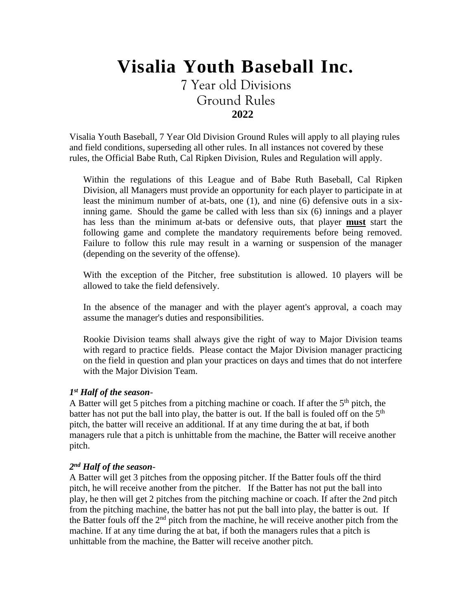# **Visalia Youth Baseball Inc.**

7 Year old Divisions Ground Rules **2022**

Visalia Youth Baseball, 7 Year Old Division Ground Rules will apply to all playing rules and field conditions, superseding all other rules. In all instances not covered by these rules, the Official Babe Ruth, Cal Ripken Division, Rules and Regulation will apply.

Within the regulations of this League and of Babe Ruth Baseball, Cal Ripken Division, all Managers must provide an opportunity for each player to participate in at least the minimum number of at-bats, one (1), and nine (6) defensive outs in a sixinning game. Should the game be called with less than six (6) innings and a player has less than the minimum at-bats or defensive outs, that player **must** start the following game and complete the mandatory requirements before being removed. Failure to follow this rule may result in a warning or suspension of the manager (depending on the severity of the offense).

With the exception of the Pitcher, free substitution is allowed. 10 players will be allowed to take the field defensively.

In the absence of the manager and with the player agent's approval, a coach may assume the manager's duties and responsibilities.

Rookie Division teams shall always give the right of way to Major Division teams with regard to practice fields. Please contact the Major Division manager practicing on the field in question and plan your practices on days and times that do not interfere with the Major Division Team.

#### *1 st Half of the season*-

A Batter will get 5 pitches from a pitching machine or coach. If after the 5<sup>th</sup> pitch, the batter has not put the ball into play, the batter is out. If the ball is fouled off on the 5<sup>th</sup> pitch, the batter will receive an additional. If at any time during the at bat, if both managers rule that a pitch is unhittable from the machine, the Batter will receive another pitch.

#### *2 nd Half of the season*-

A Batter will get 3 pitches from the opposing pitcher. If the Batter fouls off the third pitch, he will receive another from the pitcher. If the Batter has not put the ball into play, he then will get 2 pitches from the pitching machine or coach. If after the 2nd pitch from the pitching machine, the batter has not put the ball into play, the batter is out. If the Batter fouls off the  $2<sup>nd</sup>$  pitch from the machine, he will receive another pitch from the machine. If at any time during the at bat, if both the managers rules that a pitch is unhittable from the machine, the Batter will receive another pitch.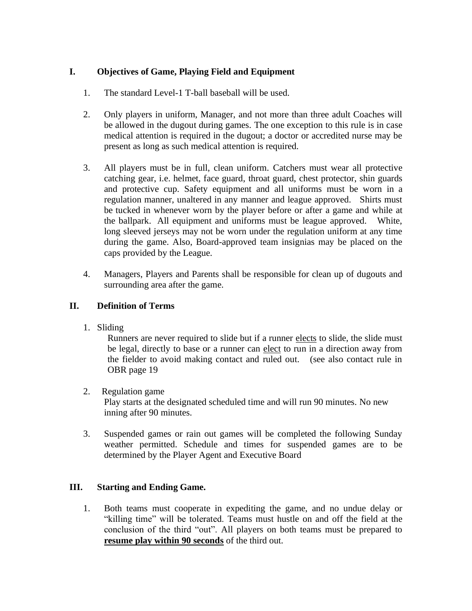# **I. Objectives of Game, Playing Field and Equipment**

- 1. The standard Level-1 T-ball baseball will be used.
- 2. Only players in uniform, Manager, and not more than three adult Coaches will be allowed in the dugout during games. The one exception to this rule is in case medical attention is required in the dugout; a doctor or accredited nurse may be present as long as such medical attention is required.
- 3. All players must be in full, clean uniform. Catchers must wear all protective catching gear, i.e. helmet, face guard, throat guard, chest protector, shin guards and protective cup. Safety equipment and all uniforms must be worn in a regulation manner, unaltered in any manner and league approved. Shirts must be tucked in whenever worn by the player before or after a game and while at the ballpark. All equipment and uniforms must be league approved. White, long sleeved jerseys may not be worn under the regulation uniform at any time during the game. Also, Board-approved team insignias may be placed on the caps provided by the League.
- 4. Managers, Players and Parents shall be responsible for clean up of dugouts and surrounding area after the game.

# **II. Definition of Terms**

1. Sliding

Runners are never required to slide but if a runner elects to slide, the slide must be legal, directly to base or a runner can elect to run in a direction away from the fielder to avoid making contact and ruled out. (see also contact rule in OBR page 19

## 2. Regulation game

Play starts at the designated scheduled time and will run 90 minutes. No new inning after 90 minutes.

3. Suspended games or rain out games will be completed the following Sunday weather permitted. Schedule and times for suspended games are to be determined by the Player Agent and Executive Board

## **III. Starting and Ending Game.**

1. Both teams must cooperate in expediting the game, and no undue delay or "killing time" will be tolerated. Teams must hustle on and off the field at the conclusion of the third "out". All players on both teams must be prepared to **resume play within 90 seconds** of the third out.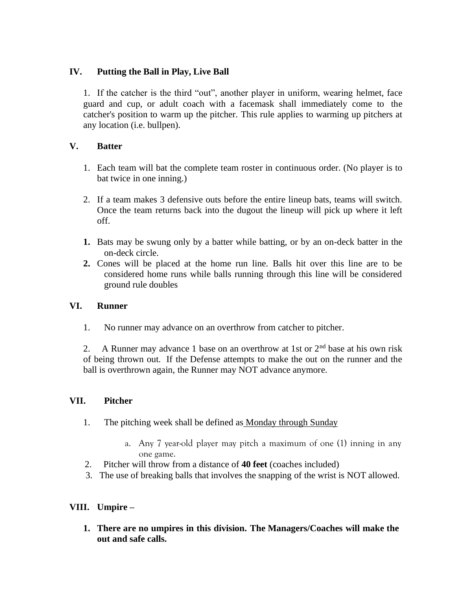## **IV. Putting the Ball in Play, Live Ball**

1. If the catcher is the third "out", another player in uniform, wearing helmet, face guard and cup, or adult coach with a facemask shall immediately come to the catcher's position to warm up the pitcher. This rule applies to warming up pitchers at any location (i.e. bullpen).

## **V. Batter**

- 1. Each team will bat the complete team roster in continuous order. (No player is to bat twice in one inning.)
- 2. If a team makes 3 defensive outs before the entire lineup bats, teams will switch. Once the team returns back into the dugout the lineup will pick up where it left off.
- **1.** Bats may be swung only by a batter while batting, or by an on-deck batter in the on-deck circle.
- **2.** Cones will be placed at the home run line. Balls hit over this line are to be considered home runs while balls running through this line will be considered ground rule doubles

## **VI. Runner**

1. No runner may advance on an overthrow from catcher to pitcher.

2. A Runner may advance 1 base on an overthrow at 1st or  $2<sup>nd</sup>$  base at his own risk of being thrown out. If the Defense attempts to make the out on the runner and the ball is overthrown again, the Runner may NOT advance anymore.

## **VII. Pitcher**

- 1. The pitching week shall be defined as Monday through Sunday
	- a. Any 7 year-old player may pitch a maximum of one (1) inning in any one game.
- 2. Pitcher will throw from a distance of **40 feet** (coaches included)
- 3. The use of breaking balls that involves the snapping of the wrist is NOT allowed.

# **VIII. Umpire –**

**1. There are no umpires in this division. The Managers/Coaches will make the out and safe calls.**